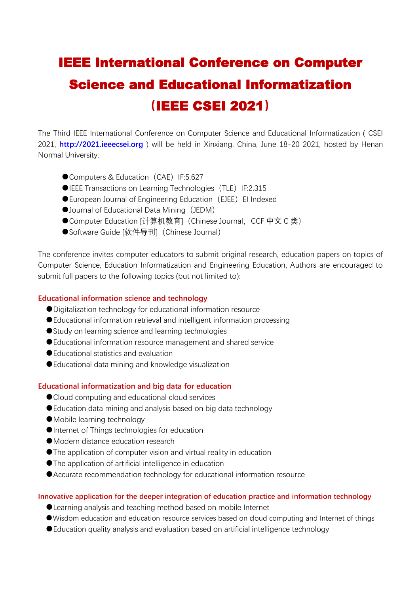# **IEEE International Conference on Computer** Science and Educational Informatization **(**IEEE CSEI 2021**)**

The Third IEEE International Conference on Computer Science and Educational Informatization ( CSEI 2021, **<http://2021.ieeecsei.org>** ) will be held in Xinxiang, China, June 18-20 2021, hosted by Henan Normal University.

- Computers & Education (CAE) IF:5.627
- ●IEEE Transactions on Learning Technologies (TLE) IF:2.315
- ●European Journal of Engineering Education (EJEE) EI Indexed
- Journal of Educational Data Mining (JEDM)
- ●Computer Education [计算机教育] (Chinese Journal, CCF 中文 C 类)
- ●Software Guide [软件导刊] (Chinese Journal)

The conference invites computer educators to submit original research, education papers on topics of Computer Science, Education Informatization and Engineering Education, Authors are encouraged to submit full papers to the following topics (but not limited to):

### **Educational information science and technology**

- ●Digitalization technology for educational information resource
- Educational information retrieval and intelligent information processing
- Study on learning science and learning technologies
- Educational information resource management and shared service
- Educational statistics and evaluation
- Educational data mining and knowledge visualization

#### **Educational informatization and big data for education**

- Cloud computing and educational cloud services
- Education data mining and analysis based on big data technology
- ●Mobile learning technology
- ●Internet of Things technologies for education
- Modern distance education research
- ●The application of computer vision and virtual reality in education
- ●The application of artificial intelligence in education
- ●Accurate recommendation technology for educational information resource

#### **Innovative application for the deeper integration of education practice and information technology**

- Learning analysis and teaching method based on mobile Internet
- ●Wisdom education and education resource services based on cloud computing and Internet of things
- Education quality analysis and evaluation based on artificial intelligence technology